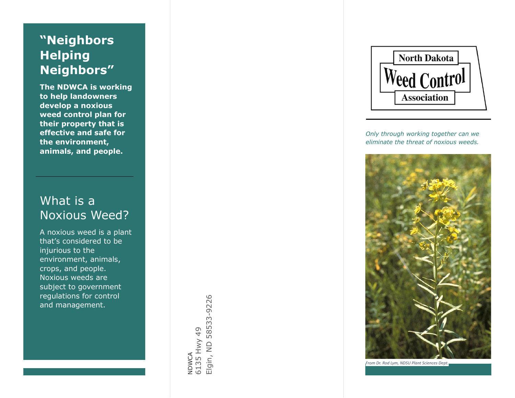# **" Helping**<br>Neighbors"

**The NDWCA is working to help landowners develop a noxious weed control plan for their property that is effective and safe for the environment, animals, and people.**

# What is a Noxious Weed?

A noxious weed is a plant that 's considered to be injurious to the environment, animals, crops , and people. Noxious weeds are subject to government regulations for control and management.

Elgin, ND 58533-9226 Elgin, ND 58533-9226 6135 Hwy 49 NDWCA<br>6135 Hwy 49



*Only through working together can we eliminate the threat of noxious weeds.*



*From Dr. Rod Lym, NDSU Plant Sciences Dept.*